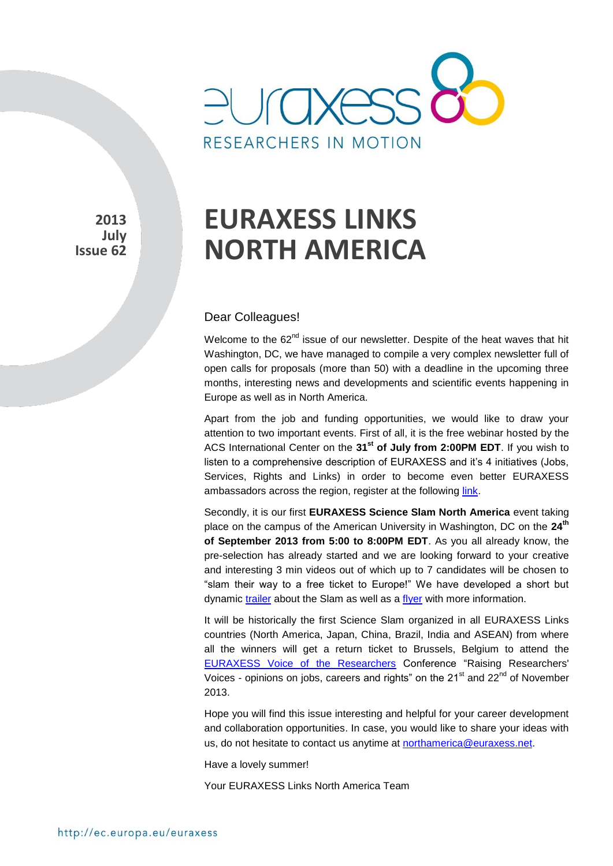

**2013 July Issue 62** 

# **EURAXESS LINKS NORTH AMERICA**

#### Dear Colleagues!

Welcome to the  $62^{nd}$  issue of our newsletter. Despite of the heat waves that hit Washington, DC, we have managed to compile a very complex newsletter full of open calls for proposals (more than 50) with a deadline in the upcoming three months, interesting news and developments and scientific events happening in Europe as well as in North America.

Apart from the job and funding opportunities, we would like to draw your attention to two important events. First of all, it is the free webinar hosted by the ACS International Center on the **31st of July from 2:00PM EDT**. If you wish to listen to a comprehensive description of EURAXESS and it's 4 initiatives (Jobs, Services, Rights and Links) in order to become even better EURAXESS ambassadors across the region, register at the following [link.](http://www.acs.org/content/acs/en/global/acs-international-center-student-chapter-contest-92013/european-exchange-programs-for-international-research.html)

Secondly, it is our first **EURAXESS Science Slam North America** event taking place on the campus of the American University in Washington, DC on the **24th of September 2013 from 5:00 to 8:00PM EDT**. As you all already know, the pre-selection has already started and we are looking forward to your creative and interesting 3 min videos out of which up to 7 candidates will be chosen to "slam their way to a free ticket to Europe!" We have developed a short but dynamic [trailer](http://www.youtube.com/watch?v=1b7Q2wjKG9g) about the Slam as well as a [flyer](http://ec.europa.eu/euraxess/data/links/usa/docs/USA_Flyer_NorthAmerika_ONLINE.pdf) with more information.

It will be historically the first Science Slam organized in all EURAXESS Links countries (North America, Japan, China, Brazil, India and ASEAN) from where all the winners will get a return ticket to Brussels, Belgium to attend the [EURAXESS Voice of the Researchers](http://voice.euraxess.org/) Conference "Raising Researchers' Voices - opinions on jobs, careers and rights" on the  $21<sup>st</sup>$  and  $22<sup>nd</sup>$  of November 2013.

Hope you will find this issue interesting and helpful for your career development and collaboration opportunities. In case, you would like to share your ideas with us, do not hesitate to contact us anytime at [northamerica@euraxess.net.](mailto:northamerica@euraxess.net)

Have a lovely summer!

Your EURAXESS Links North America Team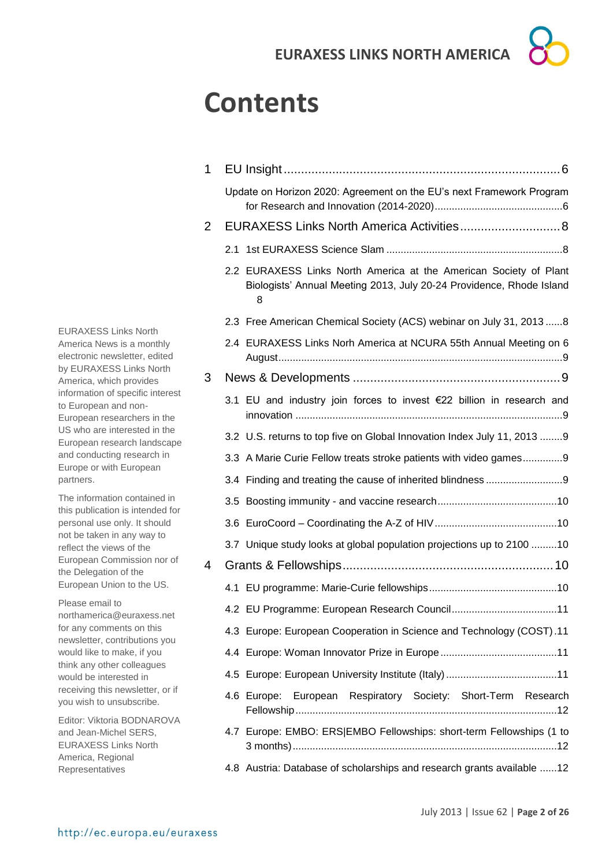# **Contents**

| 1 |                                                                                                                                                |
|---|------------------------------------------------------------------------------------------------------------------------------------------------|
|   | Update on Horizon 2020: Agreement on the EU's next Framework Program                                                                           |
| 2 |                                                                                                                                                |
|   |                                                                                                                                                |
|   | 2.2 EURAXESS Links North America at the American Society of Plant<br>Biologists' Annual Meeting 2013, July 20-24 Providence, Rhode Island<br>8 |
|   | 2.3 Free American Chemical Society (ACS) webinar on July 31, 2013 8                                                                            |
|   | 2.4 EURAXESS Links Norh America at NCURA 55th Annual Meeting on 6                                                                              |
| 3 |                                                                                                                                                |
|   | 3.1 EU and industry join forces to invest €22 billion in research and                                                                          |
|   | 3.2 U.S. returns to top five on Global Innovation Index July 11, 2013 9                                                                        |
|   | 3.3 A Marie Curie Fellow treats stroke patients with video games9                                                                              |
|   |                                                                                                                                                |
|   |                                                                                                                                                |
|   |                                                                                                                                                |
|   | 3.7 Unique study looks at global population projections up to 2100 10                                                                          |
| 4 |                                                                                                                                                |
|   |                                                                                                                                                |
|   |                                                                                                                                                |
|   | 4.3 Europe: European Cooperation in Science and Technology (COST).11                                                                           |
|   |                                                                                                                                                |
|   |                                                                                                                                                |
|   | 4.6 Europe: European Respiratory Society: Short-Term Research                                                                                  |
|   | 4.7 Europe: EMBO: ERS EMBO Fellowships: short-term Fellowships (1 to                                                                           |
|   | 4.8 Austria: Database of scholarships and research grants available 12                                                                         |

EURAXESS Links North America News is a monthly electronic newsletter, edited by EURAXESS Links North America, which provides information of specific interest to European and non-European researchers in the US who are interested in the European research landscape and conducting research in Europe or with European partners.

The information contained in this publication is intended for personal use only. It should not be taken in any way to reflect the views of the European Commission nor of the Delegation of the European Union to the US.

Please email to northamerica@euraxess.net for any comments on this newsletter, contributions you would like to make, if you think any other colleagues would be interested in receiving this newsletter, or if you wish to unsubscribe.

Editor: Viktoria BODNAROVA and Jean-Michel SERS, EURAXESS Links North America, Regional Representatives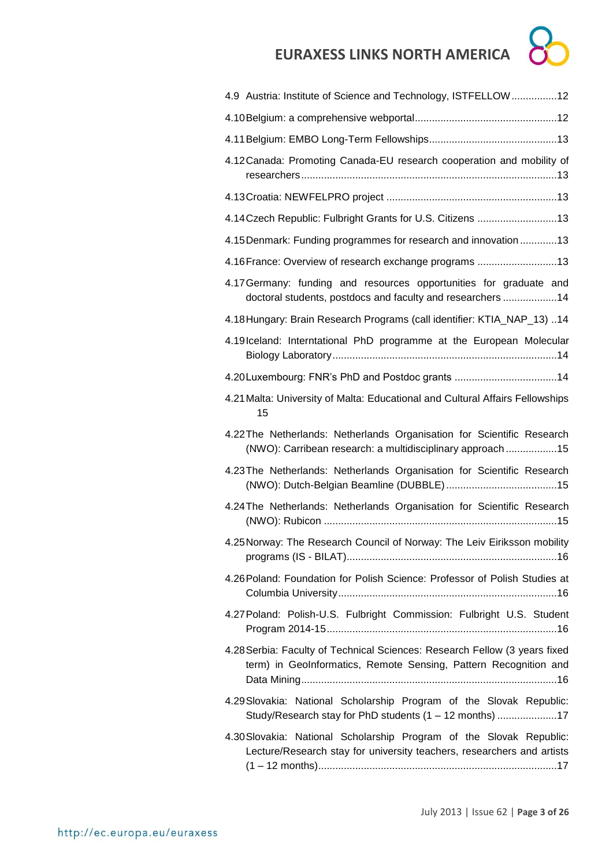| 4.9 Austria: Institute of Science and Technology, ISTFELLOW12                                                                                  |
|------------------------------------------------------------------------------------------------------------------------------------------------|
|                                                                                                                                                |
|                                                                                                                                                |
| 4.12 Canada: Promoting Canada-EU research cooperation and mobility of                                                                          |
|                                                                                                                                                |
| 4.14 Czech Republic: Fulbright Grants for U.S. Citizens 13                                                                                     |
| 4.15 Denmark: Funding programmes for research and innovation  13                                                                               |
| 4.16 France: Overview of research exchange programs 13                                                                                         |
| 4.17 Germany: funding and resources opportunities for graduate and<br>doctoral students, postdocs and faculty and researchers 14               |
| 4.18 Hungary: Brain Research Programs (call identifier: KTIA_NAP_13) 14                                                                        |
| 4.19 Iceland: Interntational PhD programme at the European Molecular                                                                           |
| 4.20 Luxembourg: FNR's PhD and Postdoc grants 14                                                                                               |
| 4.21 Malta: University of Malta: Educational and Cultural Affairs Fellowships<br>15                                                            |
| 4.22 The Netherlands: Netherlands Organisation for Scientific Research<br>(NWO): Carribean research: a multidisciplinary approach 15           |
| 4.23 The Netherlands: Netherlands Organisation for Scientific Research                                                                         |
| 4.24 The Netherlands: Netherlands Organisation for Scientific Research                                                                         |
| 4.25 Norway: The Research Council of Norway: The Leiv Eiriksson mobility                                                                       |
| 4.26 Poland: Foundation for Polish Science: Professor of Polish Studies at                                                                     |
| 4.27 Poland: Polish-U.S. Fulbright Commission: Fulbright U.S. Student                                                                          |
| 4.28 Serbia: Faculty of Technical Sciences: Research Fellow (3 years fixed<br>term) in GeoInformatics, Remote Sensing, Pattern Recognition and |
| 4.29 Slovakia: National Scholarship Program of the Slovak Republic:<br>Study/Research stay for PhD students (1 - 12 months) 17                 |
| 4.30 Slovakia: National Scholarship Program of the Slovak Republic:<br>Lecture/Research stay for university teachers, researchers and artists  |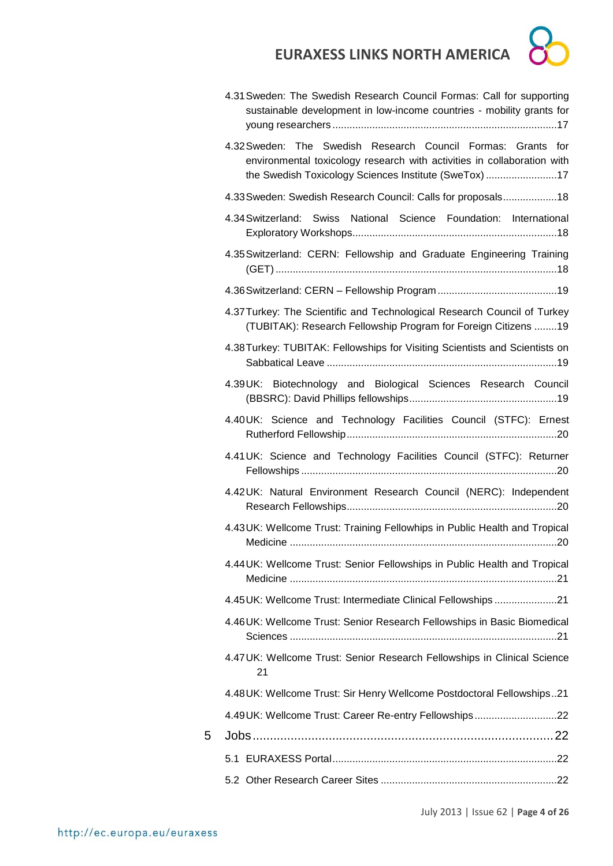

|   | 4.31 Sweden: The Swedish Research Council Formas: Call for supporting<br>sustainable development in low-income countries - mobility grants for                                                   |
|---|--------------------------------------------------------------------------------------------------------------------------------------------------------------------------------------------------|
|   | 4.32 Sweden: The Swedish Research Council Formas: Grants for<br>environmental toxicology research with activities in collaboration with<br>the Swedish Toxicology Sciences Institute (SweTox) 17 |
|   | 4.33 Sweden: Swedish Research Council: Calls for proposals18                                                                                                                                     |
|   | 4.34 Switzerland: Swiss National Science Foundation: International                                                                                                                               |
|   | 4.35 Switzerland: CERN: Fellowship and Graduate Engineering Training                                                                                                                             |
|   |                                                                                                                                                                                                  |
|   | 4.37 Turkey: The Scientific and Technological Research Council of Turkey<br>(TUBITAK): Research Fellowship Program for Foreign Citizens 19                                                       |
|   | 4.38 Turkey: TUBITAK: Fellowships for Visiting Scientists and Scientists on                                                                                                                      |
|   | 4.39UK: Biotechnology and Biological Sciences Research Council                                                                                                                                   |
|   | 4.40UK: Science and Technology Facilities Council (STFC): Ernest                                                                                                                                 |
|   | 4.41 UK: Science and Technology Facilities Council (STFC): Returner                                                                                                                              |
|   | 4.42UK: Natural Environment Research Council (NERC): Independent                                                                                                                                 |
|   | 4.43UK: Wellcome Trust: Training Fellowhips in Public Health and Tropical                                                                                                                        |
|   | 4.44 UK: Wellcome Trust: Senior Fellowships in Public Health and Tropical                                                                                                                        |
|   | 4.45 UK: Wellcome Trust: Intermediate Clinical Fellowships21                                                                                                                                     |
|   | 4.46UK: Wellcome Trust: Senior Research Fellowships in Basic Biomedical                                                                                                                          |
|   | 4.47 UK: Wellcome Trust: Senior Research Fellowships in Clinical Science<br>21                                                                                                                   |
|   | 4.48 UK: Wellcome Trust: Sir Henry Wellcome Postdoctoral Fellowships21                                                                                                                           |
|   | 4.49UK: Wellcome Trust: Career Re-entry Fellowships22                                                                                                                                            |
| 5 |                                                                                                                                                                                                  |
|   |                                                                                                                                                                                                  |
|   |                                                                                                                                                                                                  |

July 2013 | Issue 62 | **Page 4 of 26**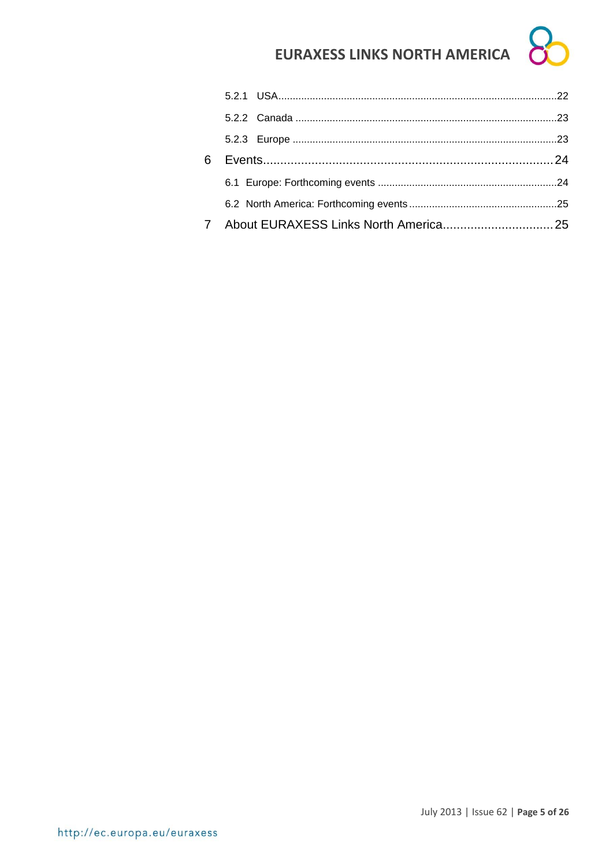| 6 |  |  |
|---|--|--|
|   |  |  |
|   |  |  |
|   |  |  |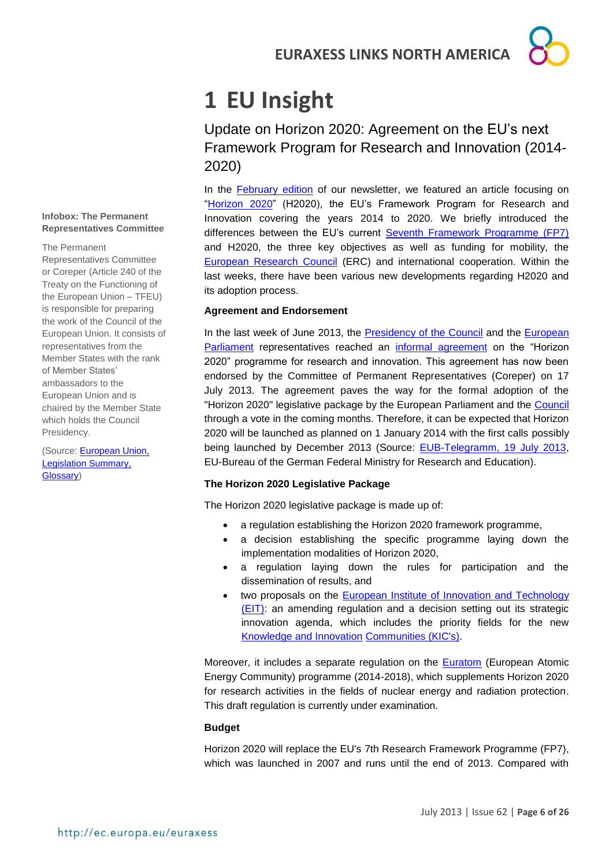# <span id="page-5-0"></span>**1 EU Insight**

<span id="page-5-1"></span>Update on Horizon 2020: Agreement on the EU's next Framework Program for Research and Innovation (2014- 2020)

In the [February edition](http://ec.europa.eu/euraxess/data/newsletters/north_america/newsletter_february_2013.pdf) of our newsletter, we featured an article focusing on ["Horizon 2020"](http://ec.europa.eu/research/horizon2020/index_en.cfm) (H2020), the EU's Framework Program for Research and Innovation covering the years 2014 to 2020. We briefly introduced the differences between the EU's current [Seventh Framework Programme \(FP7\)](http://ec.europa.eu/research/fp7/index_en.cfm) and H2020, the three key objectives as well as funding for mobility, the **[European Research Council](http://erc.europa.eu/)** (ERC) and international cooperation. Within the last weeks, there have been various new developments regarding H2020 and its adoption process.

#### **Agreement and Endorsement**

In the last week of June 2013, the [Presidency of the Council](http://www.consilium.europa.eu/council/presidency-websites.aspx) and the European [Parliament](http://www.europarl.europa.eu/news/en/pressroom/content/20130624IPR14338/html/EU-research-funding-after-2013-MEPs-and-Council-agree-legal-package) representatives reached an [informal agreement](http://www.europarl.europa.eu/news/en/pressroom/content/20130624IPR14338/html/EU-research-funding-after-2013-MEPs-and-Council-agree-legal-package) on the "Horizon 2020" programme for research and innovation. This agreement has now been endorsed by the Committee of Permanent Representatives (Coreper) on 17 July 2013. The agreement paves the way for the formal adoption of the "Horizon 2020" legislative package by the European Parliament and the [Council](http://www.european-council.europa.eu/) through a vote in the coming months. Therefore, it can be expected that Horizon 2020 will be launched as planned on 1 January 2014 with the first calls possibly being launched by December 2013 (Source: [EUB-Telegramm, 19 July 2013,](http://www.eubuero.de/newsletter.htm) EU-Bureau of the German Federal Ministry for Research and Education).

#### **The Horizon 2020 Legislative Package**

The Horizon 2020 legislative package is made up of:

- a regulation establishing the Horizon 2020 framework programme,
- a decision establishing the specific programme laying down the implementation modalities of Horizon 2020,
- a regulation laying down the rules for participation and the dissemination of results, and
- two proposals on the [European Institute of Innovation and Technology](http://eit.europa.eu/)  [\(EIT\):](http://eit.europa.eu/) an amending regulation and a decision setting out its strategic innovation agenda, which includes the priority fields for the new [Knowledge and Innovation](http://eit.europa.eu/kics/) Communities (KIC's).

Moreover, it includes a separate regulation on the **Euratom** (European Atomic Energy Community) programme (2014-2018), which supplements Horizon 2020 for research activities in the fields of nuclear energy and radiation protection. This draft regulation is currently under examination.

#### **Budget**

Horizon 2020 will replace the EU's 7th Research Framework Programme (FP7), which was launched in 2007 and runs until the end of 2013. Compared with

#### **Infobox: The Permanent Representatives Committee**

#### The Permanent

Representatives Committee or Coreper (Article 240 of the Treaty on the Functioning of the European Union – TFEU) is responsible for preparing the work of the Council of the European Union. It consists of representatives from the Member States with the rank of Member States' ambassadors to the European Union and is chaired by the Member State which holds the Council Presidency.

(Source: [European Union,](http://europa.eu/legislation_summaries/glossary/coreper_en.htm)  [Legislation Summary,](http://europa.eu/legislation_summaries/glossary/coreper_en.htm)  [Glossary\)](http://europa.eu/legislation_summaries/glossary/coreper_en.htm)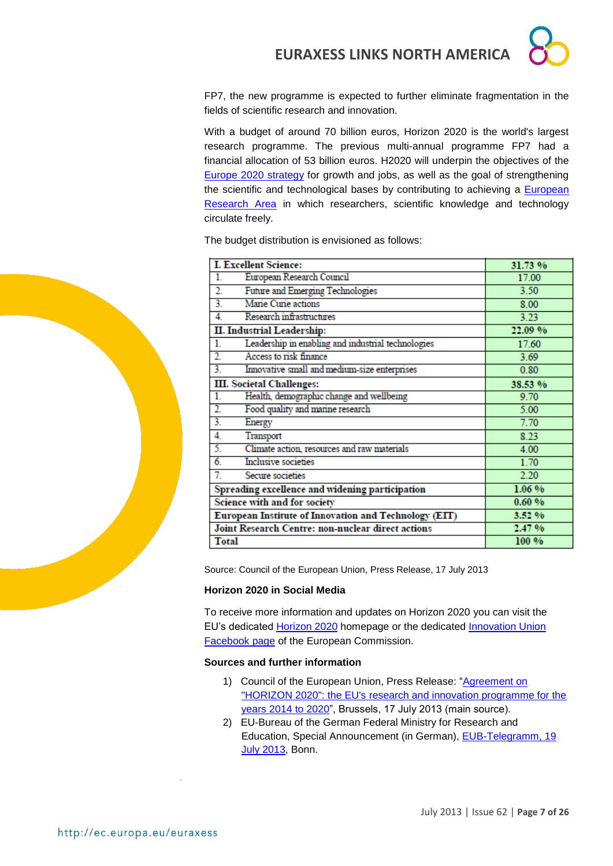

FP7, the new programme is expected to further eliminate fragmentation in the fields of scientific research and innovation.

With a budget of around 70 billion euros, Horizon 2020 is the world's largest research programme. The previous multi-annual programme FP7 had a financial allocation of 53 billion euros. H2020 will underpin the objectives of the [Europe 2020 strategy](http://ec.europa.eu/europe2020/index_en.htm) for growth and jobs, as well as the goal of strengthening the scientific and technological bases by contributing to achieving a [European](http://ec.europa.eu/research/era/index_en.htm)  [Research Area](http://ec.europa.eu/research/era/index_en.htm) in which researchers, scientific knowledge and technology circulate freely.

The budget distribution is envisioned as follows:

| <b>I. Excellent Science:</b>                             | 31.73 % |
|----------------------------------------------------------|---------|
| European Research Council<br>1.                          | 17.00   |
| Future and Emerging Technologies<br>2.                   | 3.50    |
| Marie Curie actions<br>3.                                | 8.00    |
| Research infrastructures<br>4.                           | 3.23    |
| <b>II. Industrial Leadership:</b>                        | 22.09 % |
| Leadership in enabling and industrial technologies<br>1. | 17.60   |
| Access to risk finance<br>2.                             | 3.69    |
| Innovative small and medium-size enterprises<br>3.       | 0.80    |
| <b>III.</b> Societal Challenges:                         | 38.53 % |
| Health, demographic change and wellbeing<br>1.           | 9.70    |
| 2.<br>Food quality and marine research                   | 5.00    |
| 3.<br>Energy                                             | 7.70    |
| 4.<br>Transport                                          | 8.23    |
| 5.<br>Climate action, resources and raw materials        | 4.00    |
| $\overline{6}$<br>Inclusive societies                    | 1.70    |
| 7.<br>Secure societies                                   | 2.20    |
| Spreading excellence and widening participation          | 1.06 %  |
| Science with and for society                             | 0.60%   |
| European Institute of Innovation and Technology (EIT)    | 3.52 %  |
| <b>Joint Research Centre: non-nuclear direct actions</b> | 2.47%   |
| <b>Total</b>                                             | 100 %   |

Source: Council of the European Union, Press Release, 17 July 2013

#### **Horizon 2020 in Social Media**

To receive more information and updates on Horizon 2020 you can visit the EU's dedicated [Horizon 2020](http://ec.europa.eu/research/horizon2020/index_en.cfm) homepage or the dedicated [Innovation Union](https://www.facebook.com/innovation.union)  [Facebook page](https://www.facebook.com/innovation.union) of the European Commission.

#### **Sources and further information**

- 1) Council of the European Union, Press Release: ["Agreement on](http://www.consilium.europa.eu/uedocs/cms_data/docs/pressdata/en/intm/138118.pdf)  "HORIZON [2020": the EU's research and innovation programme for the](http://www.consilium.europa.eu/uedocs/cms_data/docs/pressdata/en/intm/138118.pdf)  [years 2014 to 2020"](http://www.consilium.europa.eu/uedocs/cms_data/docs/pressdata/en/intm/138118.pdf), Brussels, 17 July 2013 (main source).
- 2) EU-Bureau of the German Federal Ministry for Research and Education, Special Announcement (in German), [EUB-Telegramm, 19](http://www.eubuero.de/newsletter.htm)  [July 2013,](http://www.eubuero.de/newsletter.htm) Bonn.

.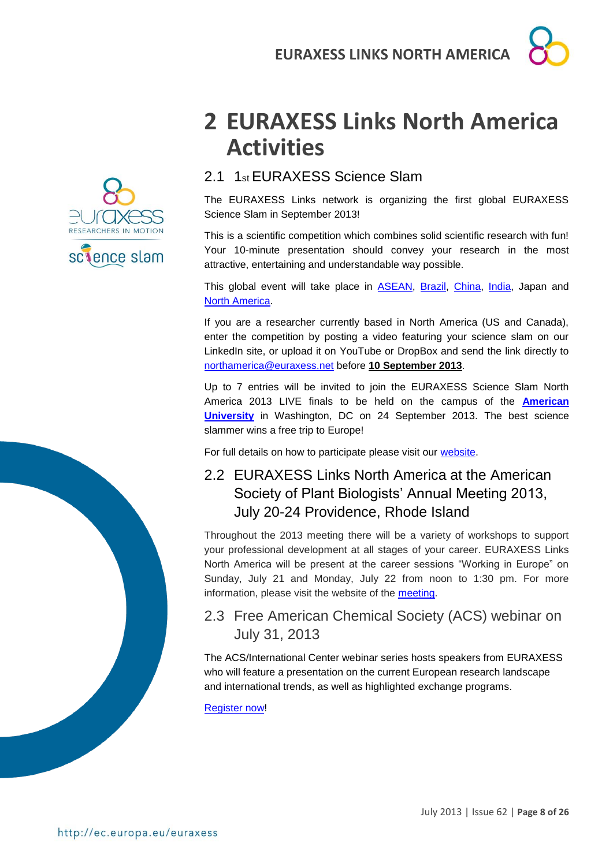

# <span id="page-7-0"></span>**2 EURAXESS Links North America Activities**

### <span id="page-7-1"></span>2.1 1st EURAXESS Science Slam

The EURAXESS Links network is organizing the first global EURAXESS Science Slam in September 2013!

This is a scientific competition which combines solid scientific research with fun! Your 10-minute presentation should convey your research in the most attractive, entertaining and understandable way possible.

This global event will take place in [ASEAN,](http://ec.europa.eu/euraxess/index.cfm/links/events/asean/science_slam) [Brazil,](http://ec.europa.eu/euraxess/index.cfm/links/events/brazil/science_slam) [China,](http://ec.europa.eu/euraxess/index.cfm/links/events/china/science_slam) [India,](http://ec.europa.eu/euraxess/index.cfm/links/events/india/science_slam) Japan and North [America.](http://ec.europa.eu/euraxess/index.cfm/links/events/north_america/science_slam)

If you are a researcher currently based in North America (US and Canada), enter the competition by posting a video featuring your science slam on our LinkedIn site, or upload it on YouTube or DropBox and send the link directly to [northamerica@euraxess.net](mailto:northamerica@euraxess.net) before **10 September 2013**.

Up to 7 entries will be invited to join the EURAXESS Science Slam North America 2013 LIVE finals to be held on the campus of the **[American](http://www.american.edu/cas/)  [University](http://www.american.edu/cas/)** in Washington, DC on 24 September 2013. The best science slammer wins a free trip to Europe!

For full details on how to participate please visit our [website.](http://ec.europa.eu/euraxess/index.cfm/links/events/north_america/science_slam)

### <span id="page-7-2"></span>2.2 EURAXESS Links North America at the American Society of Plant Biologists' Annual Meeting 2013, July 20-24 Providence, Rhode Island

Throughout the 2013 meeting there will be a variety of workshops to support your professional development at all stages of your career. EURAXESS Links North America will be present at the career sessions "Working in Europe" on Sunday, July 21 and Monday, July 22 from noon to 1:30 pm. For more information, please visit the website of the [meeting.](http://my.aspb.org/page/Career_Development)

### <span id="page-7-3"></span>2.3 Free American Chemical Society (ACS) webinar on July 31, 2013

The ACS/International Center webinar series hosts speakers from EURAXESS who will feature a presentation on the current European research landscape and international trends, as well as highlighted exchange programs.

[Register now!](http://www.acs.org/content/acs/en/global/acs-international-center-student-chapter-contest-92013/european-exchange-programs-for-international-research.html)

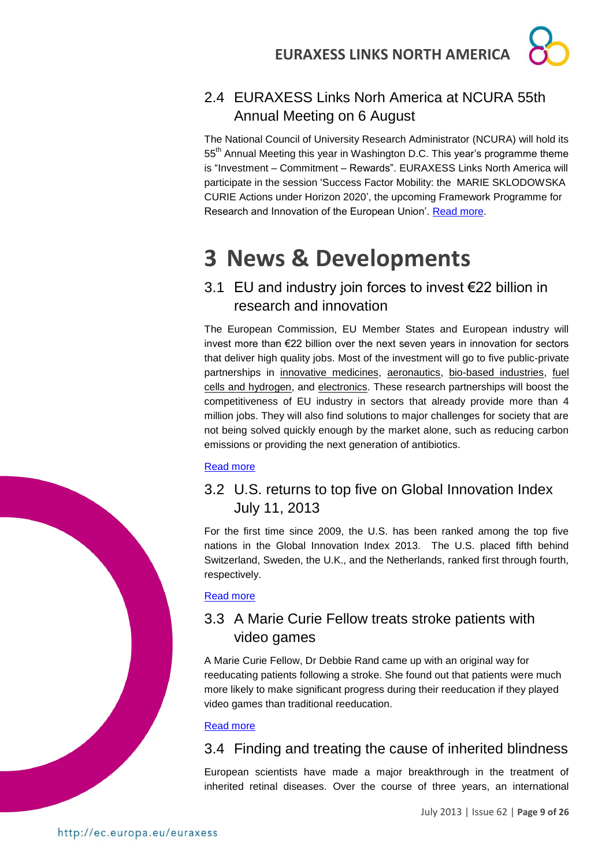

### <span id="page-8-0"></span>2.4 EURAXESS Links Norh America at NCURA 55th Annual Meeting on 6 August

The National Council of University Research Administrator (NCURA) will hold its 55<sup>th</sup> Annual Meeting this year in Washington D.C. This year's programme theme is "Investment – Commitment – Rewards". EURAXESS Links North America will participate in the session 'Success Factor Mobility: the MARIE SKLODOWSKA CURIE Actions under Horizon 2020', the upcoming Framework Programme for Research and Innovation of the European Union'. [Read more.](http://higherlogicdownload.s3.amazonaws.com/NCURA/606e6368-bfac-43fb-abe2-7849edacd33d/UploadedImages/AM55fullpreliminary.716.pdf)

# <span id="page-8-1"></span>**3 News & Developments**

### <span id="page-8-2"></span>3.1 EU and industry join forces to invest €22 billion in research and innovation

The European Commission, EU Member States and European industry will invest more than €22 billion over the next seven years in innovation for sectors that deliver high quality jobs. Most of the investment will go to five public-private partnerships in innovative medicines, aeronautics, bio-based industries, fuel cells and hydrogen, and electronics. These research partnerships will boost the competitiveness of EU industry in sectors that already provide more than 4 million jobs. They will also find solutions to major challenges for society that are not being solved quickly enough by the market alone, such as reducing carbon emissions or providing the next generation of antibiotics.

#### [Read more](http://europa.eu/rapid/press-release_IP-13-668_en.htm)

### <span id="page-8-3"></span>3.2 U.S. returns to top five on Global Innovation Index July 11, 2013

For the first time since 2009, the U.S. has been ranked among the top five nations in the Global Innovation Index 2013. The U.S. placed fifth behind Switzerland, Sweden, the U.K., and the Netherlands, ranked first through fourth, respectively.

[Read more](http://membercentral.aaas.org/blogs/capitol-connection/us-returns-top-five-global-innovation-index?goback=.gmp_5024130.gde_5024130_member_258350073)

### <span id="page-8-4"></span>3.3 A Marie Curie Fellow treats stroke patients with video games

A Marie Curie Fellow, Dr Debbie Rand came up with an original way for reeducating patients following a stroke. She found out that patients were much more likely to make significant progress during their reeducation if they played video games than traditional reeducation.

#### [Read more](http://ec.europa.eu/research/mariecurieactions/news-events/news/2013/a_marie_curie_fellow_treats_stroke_patients_with_video_games_en.htm)

### <span id="page-8-5"></span>3.4 Finding and treating the cause of inherited blindness

European scientists have made a major breakthrough in the treatment of inherited retinal diseases. Over the course of three years, an international

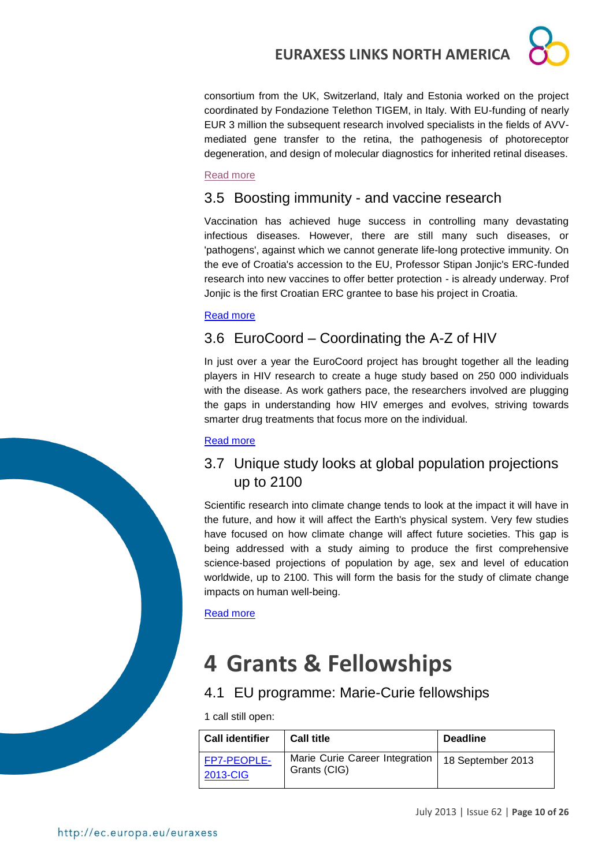consortium from the UK, Switzerland, Italy and Estonia worked on the project coordinated by Fondazione Telethon TIGEM, in Italy. With EU-funding of nearly EUR 3 million the subsequent research involved specialists in the fields of AVVmediated gene transfer to the retina, the pathogenesis of photoreceptor degeneration, and design of molecular diagnostics for inherited retinal diseases.

#### [Read more](http://ec.europa.eu/research/infocentre/article_en.cfm?id=/research/headlines/news/article_13_06_26_en.html&item=All&artid=30533&caller=AllHeadlines)

### <span id="page-9-0"></span>3.5 Boosting immunity - and vaccine research

Vaccination has achieved huge success in controlling many devastating infectious diseases. However, there are still many such diseases, or 'pathogens', against which we cannot generate life-long protective immunity. On the eve of Croatia's accession to the EU, Professor Stipan Jonjic's ERC-funded research into new vaccines to offer better protection - is already underway. Prof Jonjic is the first Croatian ERC grantee to base his project in Croatia.

#### [Read more](http://ec.europa.eu/research/infocentre/article_en.cfm?id=/research/headlines/news/article_13_07_01_en.html&item=All&artid=30553&caller=AllHeadlines)

### <span id="page-9-1"></span>3.6 EuroCoord – Coordinating the A-Z of HIV

In just over a year the EuroCoord project has brought together all the leading players in HIV research to create a huge study based on 250 000 individuals with the disease. As work gathers pace, the researchers involved are plugging the gaps in understanding how HIV emerges and evolves, striving towards smarter drug treatments that focus more on the individual.

#### [Read more](http://ec.europa.eu/research/infocentre/article_en.cfm?id=/research/headlines/news/article_13_07_11_en.html&item=All&artid=30613&caller=AllHeadlines)

### <span id="page-9-2"></span>3.7 Unique study looks at global population projections up to 2100

Scientific research into climate change tends to look at the impact it will have in the future, and how it will affect the Earth's physical system. Very few studies have focused on how climate change will affect future societies. This gap is being addressed with a study aiming to produce the first comprehensive science-based projections of population by age, sex and level of education worldwide, up to 2100. This will form the basis for the study of climate change impacts on human well-being.

[Read more](http://ec.europa.eu/research/infocentre/article_en.cfm?id=/research/headlines/news/article_13_07_15_en.html&item=All&artid=30633&caller=AllHeadlines)

# <span id="page-9-3"></span>**4 Grants & Fellowships**

### <span id="page-9-4"></span>4.1 EU programme: Marie-Curie fellowships

1 call still open:

| <b>Call identifier</b>  | <b>Call title</b>                              | <b>Deadline</b>   |
|-------------------------|------------------------------------------------|-------------------|
| FP7-PEOPLE-<br>2013-CIG | Marie Curie Career Integration<br>Grants (CIG) | 18 September 2013 |

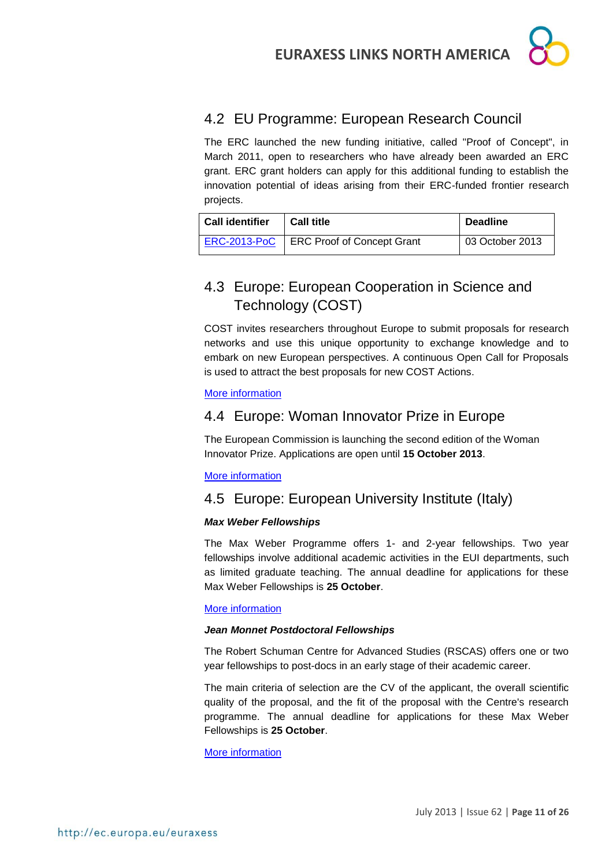

### <span id="page-10-0"></span>4.2 EU Programme: European Research Council

The ERC launched the new funding initiative, called "Proof of Concept", in March 2011, open to researchers who have already been awarded an ERC grant. ERC grant holders can apply for this additional funding to establish the innovation potential of ideas arising from their ERC-funded frontier research projects.

| <b>Call identifier</b> | <b>Call title</b>                 | <b>Deadline</b> |  |
|------------------------|-----------------------------------|-----------------|--|
| <b>ERC-2013-PoC</b>    | <b>ERC Proof of Concept Grant</b> | 03 October 2013 |  |

### <span id="page-10-1"></span>4.3 Europe: European Cooperation in Science and Technology (COST)

COST invites researchers throughout Europe to submit proposals for research networks and use this unique opportunity to exchange knowledge and to embark on new European perspectives. A continuous Open Call for Proposals is used to attract the best proposals for new COST Actions.

#### [More information](http://www.cost.eu/participate/open_call)

### <span id="page-10-2"></span>4.4 Europe: Woman Innovator Prize in Europe

The European Commission is launching the second edition of the Woman Innovator Prize. Applications are open until **15 October 2013**.

#### [More information](http://ec.europa.eu/research/mariecurieactions/news-events/news/2013/woman_innovator_prize_en.htm)

### <span id="page-10-3"></span>4.5 Europe: European University Institute (Italy)

#### *Max Weber Fellowships*

The Max Weber Programme offers 1- and 2-year fellowships. Two year fellowships involve additional academic activities in the EUI departments, such as limited graduate teaching. The annual deadline for applications for these Max Weber Fellowships is **25 October**.

#### [More information](http://www.eui.eu/ServicesAndAdmin/AcademicService/Fellowships/MaxWeberFellowships/Index.aspx)

#### *Jean Monnet Postdoctoral Fellowships*

The Robert Schuman Centre for Advanced Studies (RSCAS) offers one or two year fellowships to post-docs in an early stage of their academic career.

The main criteria of selection are the CV of the applicant, the overall scientific quality of the proposal, and the fit of the proposal with the Centre's research programme. The annual deadline for applications for these Max Weber Fellowships is **25 October**.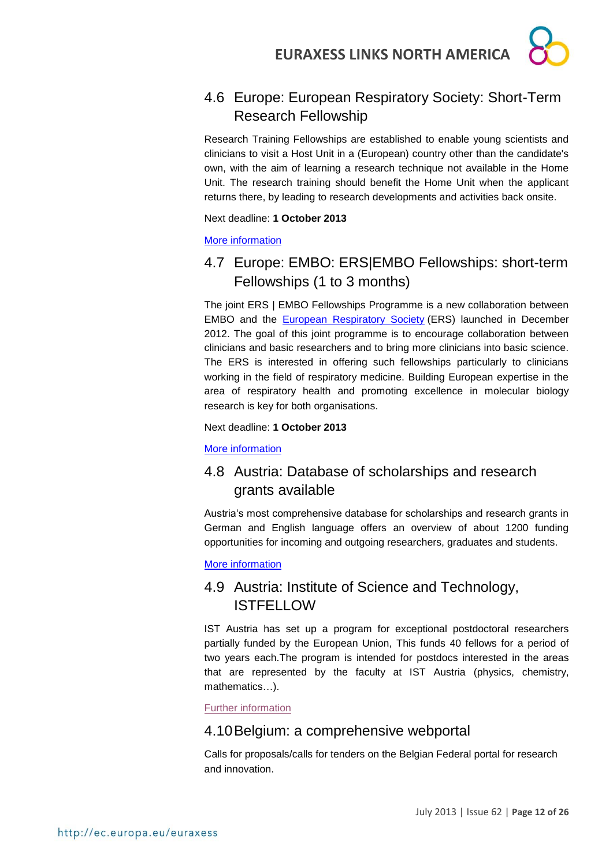### <span id="page-11-0"></span>4.6 Europe: European Respiratory Society: Short-Term Research Fellowship

Research Training Fellowships are established to enable young scientists and clinicians to visit a Host Unit in a (European) country other than the candidate's own, with the aim of learning a research technique not available in the Home Unit. The research training should benefit the Home Unit when the applicant returns there, by leading to research developments and activities back onsite.

Next deadline: **1 October 2013**

#### [More information](http://www.ersnet.org/ers-funding/fellowships/short-term.html)

### <span id="page-11-1"></span>4.7 Europe: EMBO: ERS|EMBO Fellowships: short-term Fellowships (1 to 3 months)

The joint ERS | EMBO Fellowships Programme is a new collaboration between EMBO and the [European Respiratory Society](http://www.ersnet.org/) (ERS) launched in December 2012. The goal of this joint programme is to encourage collaboration between clinicians and basic researchers and to bring more clinicians into basic science. The ERS is interested in offering such fellowships particularly to clinicians working in the field of respiratory medicine. Building European expertise in the area of respiratory health and promoting excellence in molecular biology research is key for both organisations.

Next deadline: **1 October 2013**

[More information](http://www.embo.org/funding-awards/fellowships/ers-embo-fellowships)

### <span id="page-11-2"></span>4.8 Austria: Database of scholarships and research grants available

Austria's most comprehensive database for scholarships and research grants in German and English language offers an overview of about 1200 funding opportunities for incoming and outgoing researchers, graduates and students.

#### [More information](http://www.grants.at/)

### <span id="page-11-3"></span>4.9 Austria: Institute of Science and Technology, **ISTFELLOW**

IST Austria has set up a program for exceptional postdoctoral researchers partially funded by the European Union, This funds 40 fellows for a period of two years each.The program is intended for postdocs interested in the areas that are represented by the faculty at IST Austria (physics, chemistry, mathematics…).

[Further information](http://ist.ac.at/research/postdoctoral-research/istfellow/)

### <span id="page-11-4"></span>4.10Belgium: a comprehensive webportal

Calls for proposals/calls for tenders on the Belgian Federal portal for research and innovation.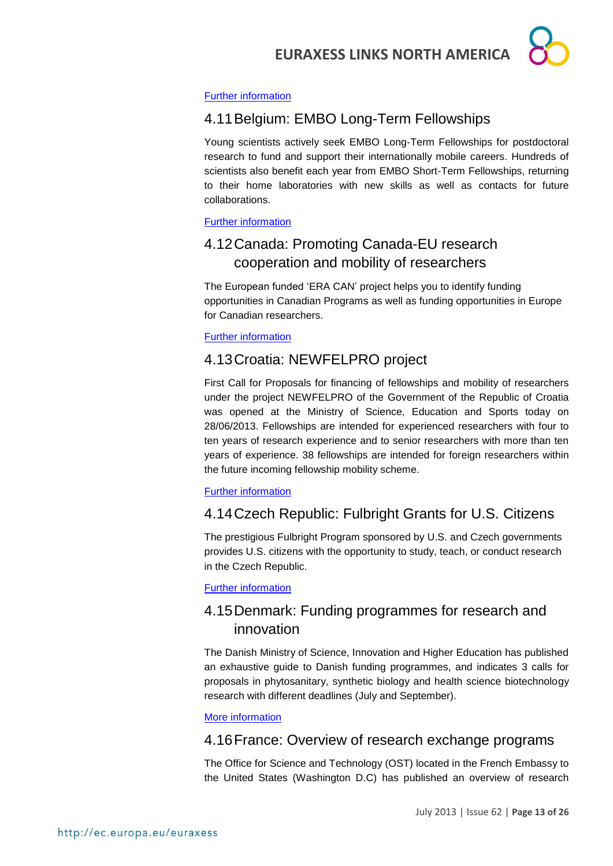

#### [Further information](http://www.research.be/ListURL/list.asp?KeyId=623&up=619)

### <span id="page-12-0"></span>4.11Belgium: EMBO Long-Term Fellowships

Young scientists actively seek EMBO Long-Term Fellowships for postdoctoral research to fund and support their internationally mobile careers. Hundreds of scientists also benefit each year from EMBO Short-Term Fellowships, returning to their home laboratories with new skills as well as contacts for future collaborations.

#### [Further information](http://www.embo.org/funding-awards/fellowships)

### <span id="page-12-1"></span>4.12Canada: Promoting Canada-EU research cooperation and mobility of researchers

The European funded 'ERA CAN' project helps you to identify funding opportunities in Canadian Programs as well as funding opportunities in Europe for Canadian researchers.

#### [Further information](http://www.era-can.ca/en/Opportunities_In_Canadian_Programs_22/Opportunities_In_Canadian_Programs_10)

### <span id="page-12-2"></span>4.13Croatia: NEWFELPRO project

First Call for Proposals for financing of fellowships and mobility of researchers under the project NEWFELPRO of the Government of the Republic of Croatia was opened at the Ministry of Science, Education and Sports today on 28/06/2013. Fellowships are intended for experienced researchers with four to ten years of research experience and to senior researchers with more than ten years of experience. 38 fellowships are intended for foreign researchers within the future incoming fellowship mobility scheme.

#### [Further information](http://www.newfelpro.hr/default.aspx?id=63)

### <span id="page-12-3"></span>4.14Czech Republic: Fulbright Grants for U.S. Citizens

The prestigious Fulbright Program sponsored by U.S. and Czech governments provides U.S. citizens with the opportunity to study, teach, or conduct research in the Czech Republic.

#### [Further information](http://www.fulbright.cz/fulbright-grants-us-citizens#basic)

### <span id="page-12-4"></span>4.15Denmark: Funding programmes for research and innovation

The Danish Ministry of Science, Innovation and Higher Education has published an exhaustive guide to Danish funding programmes, and indicates 3 calls for proposals in phytosanitary, synthetic biology and health science biotechnology research with different deadlines (July and September).

#### [More information](http://fivu.dk/en/research-and-innovation/funding-programmes-for-research-and-innovation/guide-to-funding)

### <span id="page-12-5"></span>4.16France: Overview of research exchange programs

The Office for Science and Technology (OST) located in the French Embassy to the United States (Washington D.C) has published an overview of research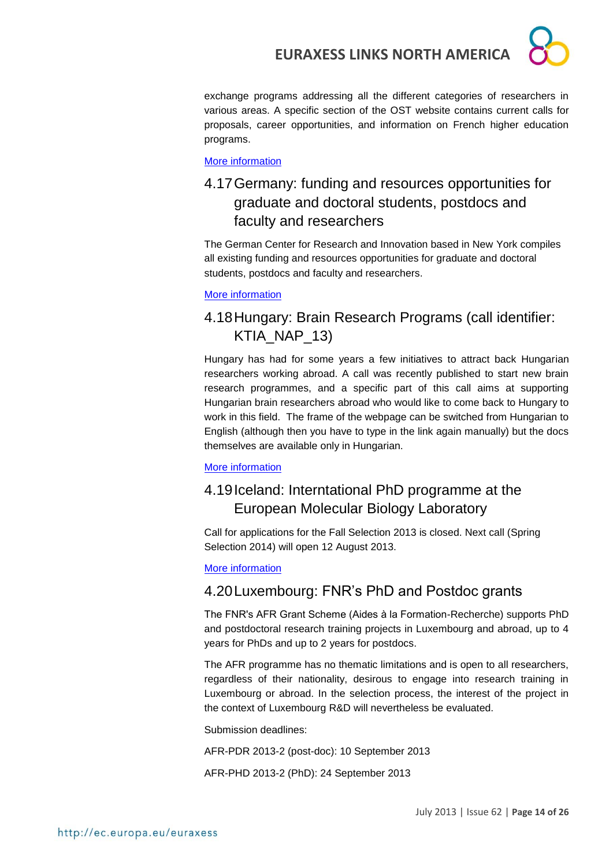exchange programs addressing all the different categories of researchers in various areas. A specific section of the OST website contains current calls for proposals, career opportunities, and information on French higher education programs.

[More information](http://france-science.org/USA-France-Mobility-Schemes.html)

### <span id="page-13-0"></span>4.17Germany: funding and resources opportunities for graduate and doctoral students, postdocs and faculty and researchers

The German Center for Research and Innovation based in New York compiles all existing funding and resources opportunities for graduate and doctoral students, postdocs and faculty and researchers.

#### [More information](http://www.germaninnovation.org/resources/faculty-and-researchers)

### <span id="page-13-1"></span>4.18Hungary: Brain Research Programs (call identifier: KTIA\_NAP\_13)

Hungary has had for some years a few initiatives to attract back Hungarian researchers working abroad. A call was recently published to start new brain research programmes, and a specific part of this call aims at supporting Hungarian brain researchers abroad who would like to come back to Hungary to work in this field. The frame of the webpage can be switched from Hungarian to English (although then you have to type in the link again manually) but the docs themselves are available only in Hungarian.

#### [More information](http://www.nfu.hu/doc/4182)

### <span id="page-13-2"></span>4.19Iceland: Interntational PhD programme at the European Molecular Biology Laboratory

Call for applications for the Fall Selection 2013 is closed. Next call (Spring Selection 2014) will open 12 August 2013.

[More information](http://www.embl.de/training/eipp/application/index.html)

### <span id="page-13-3"></span>4.20Luxembourg: FNR's PhD and Postdoc grants

The FNR's AFR Grant Scheme (Aides à la Formation-Recherche) supports PhD and postdoctoral research training projects in Luxembourg and abroad, up to 4 years for PhDs and up to 2 years for postdocs.

The AFR programme has no thematic limitations and is open to all researchers, regardless of their nationality, desirous to engage into research training in Luxembourg or abroad. In the selection process, the interest of the project in the context of Luxembourg R&D will nevertheless be evaluated.

Submission deadlines:

AFR-PDR 2013-2 (post-doc): 10 September 2013

AFR-PHD 2013-2 (PhD): 24 September 2013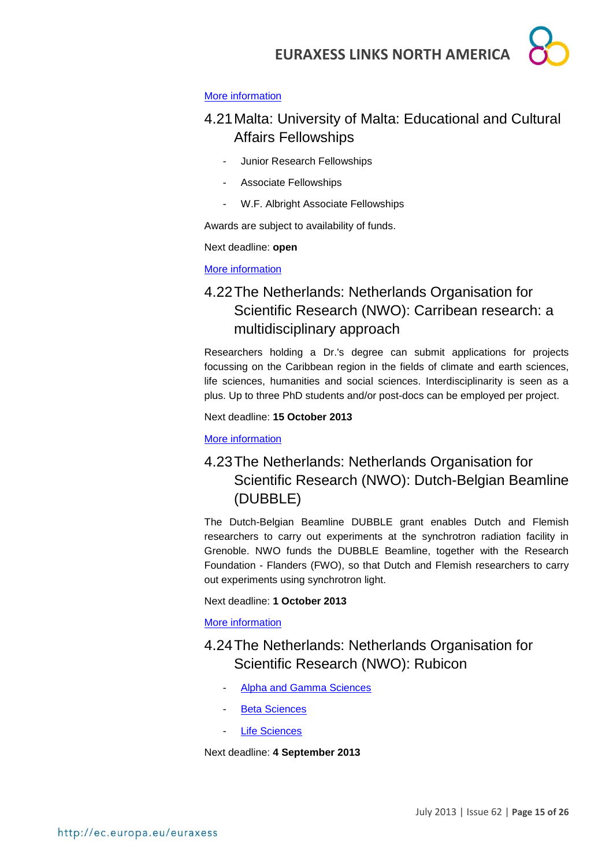#### [More information](http://www.fnr.lu/en/AFR-PhD-Postdoc-Grants/AFR-in-Brief)

### <span id="page-14-0"></span>4.21Malta: University of Malta: Educational and Cultural Affairs Fellowships

- Junior Research Fellowships
- Associate Fellowships
- W.F. Albright Associate Fellowships

Awards are subject to availability of funds.

#### Next deadline: **open**

[More information](http://www.um.edu.mt/noticeboard/fellowships.html)

### <span id="page-14-1"></span>4.22The Netherlands: Netherlands Organisation for Scientific Research (NWO): Carribean research: a multidisciplinary approach

Researchers holding a Dr.'s degree can submit applications for projects focussing on the Caribbean region in the fields of climate and earth sciences, life sciences, humanities and social sciences. Interdisciplinarity is seen as a plus. Up to three PhD students and/or post-docs can be employed per project.

Next deadline: **15 October 2013**

[More information](http://www.nwo.nl/en/funding/our-funding-instruments/alw/caribbean-research-a-multi-disciplinary-approach/caribbean-research-a-multi-disciplinary-approach.html)

### <span id="page-14-2"></span>4.23The Netherlands: Netherlands Organisation for Scientific Research (NWO): Dutch-Belgian Beamline (DUBBLE)

The Dutch-Belgian Beamline DUBBLE grant enables Dutch and Flemish researchers to carry out experiments at the synchrotron radiation facility in Grenoble. NWO funds the DUBBLE Beamline, together with the Research Foundation - Flanders (FWO), so that Dutch and Flemish researchers to carry out experiments using synchrotron light.

#### Next deadline: **1 October 2013**

#### [More information](http://www.nwo.nl/en/funding/our-funding-instruments/nwo/dutch-belgian-beamline/dutch-belgian-beamline.html)

### <span id="page-14-3"></span>4.24The Netherlands: Netherlands Organisation for Scientific Research (NWO): Rubicon

- [Alpha and Gamma Sciences](http://www.nwo.nl/en/funding/our-funding-instruments/nwo/rubicon/rubicon---alpha-and-gamma-sciences/rubicon---alpha-and-gamma-sciences.html)
- [Beta Sciences](http://www.nwo.nl/en/funding/our-funding-instruments/nwo/rubicon/rubicon---beta-sciences/rubicon---beta-sciences.html)
- [Life Sciences](http://www.nwo.nl/en/funding/our-funding-instruments/nwo/rubicon/rubicon---life-sciences/rubicon---life-sciences.html)

Next deadline: **4 September 2013**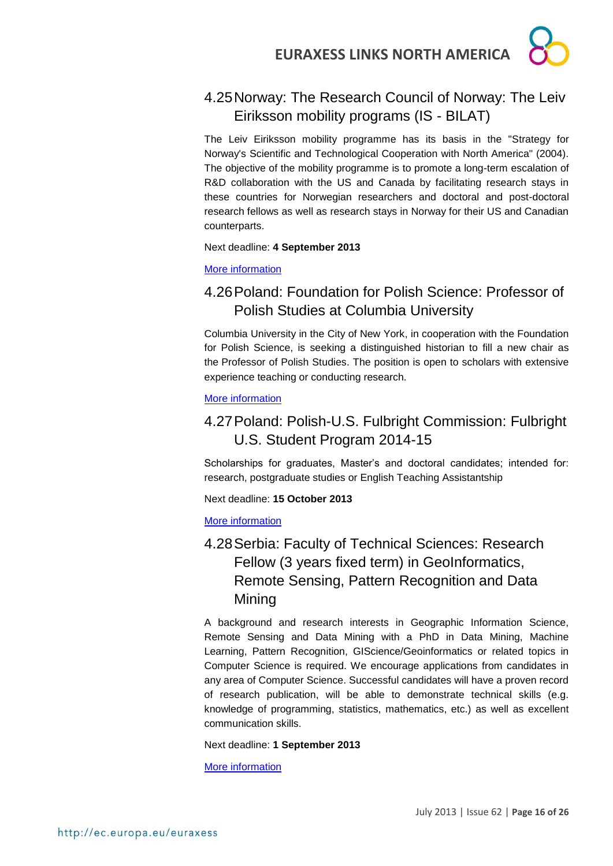

### <span id="page-15-0"></span>4.25Norway: The Research Council of Norway: The Leiv Eiriksson mobility programs (IS - BILAT)

The Leiv Eiriksson mobility programme has its basis in the "Strategy for Norway's Scientific and Technological Cooperation with North America" (2004). The objective of the mobility programme is to promote a long-term escalation of R&D collaboration with the US and Canada by facilitating research stays in these countries for Norwegian researchers and doctoral and post-doctoral research fellows as well as research stays in Norway for their US and Canadian counterparts.

#### Next deadline: **4 September 2013**

#### [More information](http://www.forskningsradet.no/en/Funding/ISBILAT/1244734017095?visAktive=true)

### <span id="page-15-1"></span>4.26Poland: Foundation for Polish Science: Professor of Polish Studies at Columbia University

Columbia University in the City of New York, in cooperation with the Foundation for Polish Science, is seeking a distinguished historian to fill a new chair as the Professor of Polish Studies. The position is open to scholars with extensive experience teaching or conducting research.

#### [More information](http://www.fnp.org.pl/en/aktualnosci-konkurs-na-stanowisko-professor-of-polish-studies-na-uniwersytecie-columbia/)

### <span id="page-15-2"></span>4.27Poland: Polish-U.S. Fulbright Commission: Fulbright U.S. Student Program 2014-15

Scholarships for graduates, Master's and doctoral candidates; intended for: research, postgraduate studies or English Teaching Assistantship

Next deadline: **15 October 2013**

#### [More information](http://us.fulbrightonline.org/fulbright-us-student-program)

### <span id="page-15-3"></span>4.28Serbia: Faculty of Technical Sciences: Research Fellow (3 years fixed term) in GeoInformatics, Remote Sensing, Pattern Recognition and Data Mining

A background and research interests in Geographic Information Science, Remote Sensing and Data Mining with a PhD in Data Mining, Machine Learning, Pattern Recognition, GIScience/Geoinformatics or related topics in Computer Science is required. We encourage applications from candidates in any area of Computer Science. Successful candidates will have a proven record of research publication, will be able to demonstrate technical skills (e.g. knowledge of programming, statistics, mathematics, etc.) as well as excellent communication skills.

Next deadline: **1 September 2013**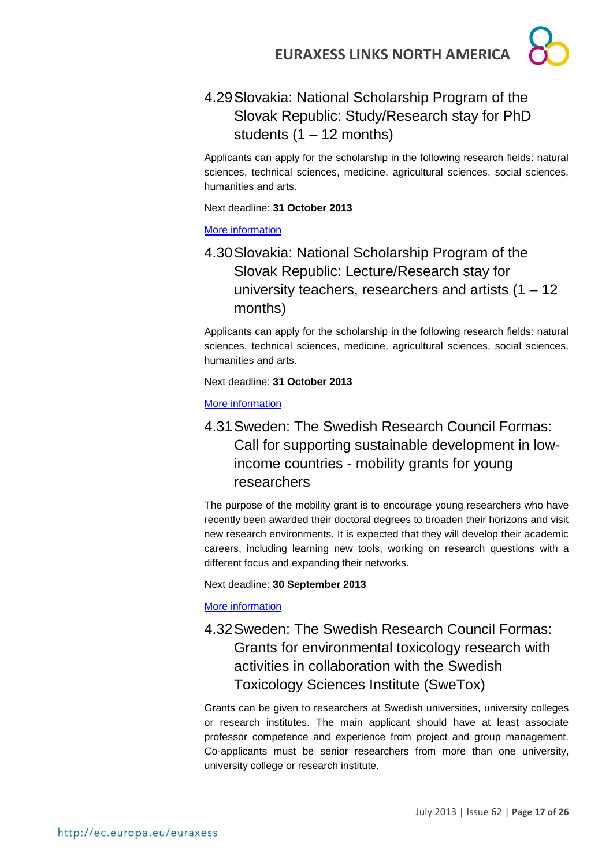<span id="page-16-0"></span>4.29Slovakia: National Scholarship Program of the Slovak Republic: Study/Research stay for PhD students  $(1 - 12$  months)

Applicants can apply for the scholarship in the following research fields: natural sciences, technical sciences, medicine, agricultural sciences, social sciences, humanities and arts.

Next deadline: **31 October 2013**

#### [More information](http://grants.saia.sk/Pages/ProgramDetail.aspx?Program=298)

### <span id="page-16-1"></span>4.30Slovakia: National Scholarship Program of the Slovak Republic: Lecture/Research stay for university teachers, researchers and artists  $(1 – 12)$ months)

Applicants can apply for the scholarship in the following research fields: natural sciences, technical sciences, medicine, agricultural sciences, social sciences, humanities and arts.

Next deadline: **31 October 2013**

[More information](http://grants.saia.sk/Pages/ProgramDetail.aspx?Program=299)

<span id="page-16-2"></span>4.31Sweden: The Swedish Research Council Formas: Call for supporting sustainable development in lowincome countries - mobility grants for young researchers

The purpose of the mobility grant is to encourage young researchers who have recently been awarded their doctoral degrees to broaden their horizons and visit new research environments. It is expected that they will develop their academic careers, including learning new tools, working on research questions with a different focus and expanding their networks.

#### Next deadline: **30 September 2013**

#### [More information](http://www.formas.se/en/Financing/Calls-For-Proposals/Aktuella/Call-for-supporting-sustainable-development-in-low-income-countries---mobility-grants-for-young-researchers/)

### <span id="page-16-3"></span>4.32Sweden: The Swedish Research Council Formas: Grants for environmental toxicology research with activities in collaboration with the Swedish Toxicology Sciences Institute (SweTox)

Grants can be given to researchers at Swedish universities, university colleges or research institutes. The main applicant should have at least associate professor competence and experience from project and group management. Co-applicants must be senior researchers from more than one university, university college or research institute.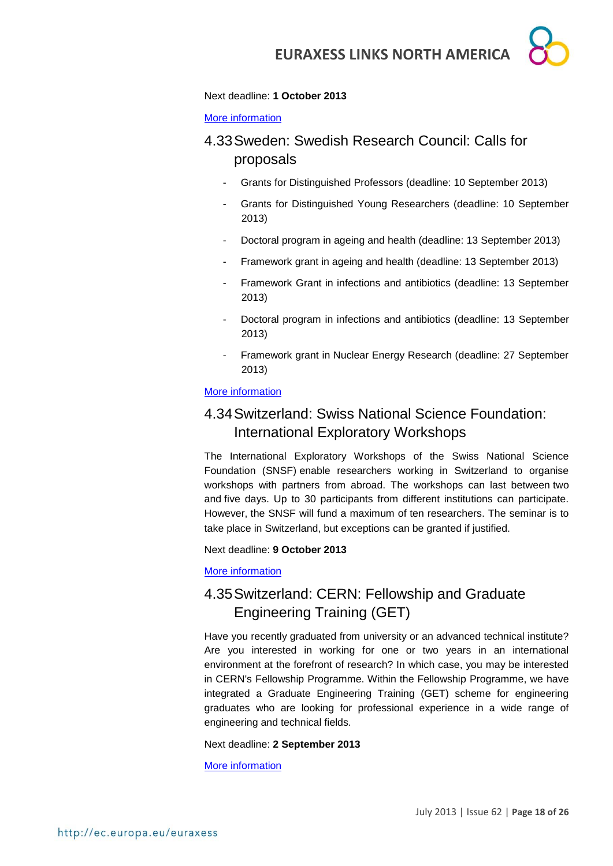#### Next deadline: **1 October 2013**

#### [More information](http://www.formas.se/en/Financing/Calls-For-Proposals/Aktuella/Grants-for-environmental-toxicology-research-with-activities-in-collaboration-with-the-Swedish-Toxicology-Sciences-Institute-SweTox/)

### <span id="page-17-0"></span>4.33Sweden: Swedish Research Council: Calls for proposals

- Grants for Distinguished Professors (deadline: 10 September 2013)
- Grants for Distinguished Young Researchers (deadline: 10 September 2013)
- Doctoral program in ageing and health (deadline: 13 September 2013)
- Framework grant in ageing and health (deadline: 13 September 2013)
- Framework Grant in infections and antibiotics (deadline: 13 September 2013)
- Doctoral program in infections and antibiotics (deadline: 13 September 2013)
- Framework grant in Nuclear Energy Research (deadline: 27 September 2013)

#### [More information](http://www.vr.se/inenglish/researchfunding/applyforgrants/callforproposals.4.ead945b11f699b5085800013700.html)

### <span id="page-17-1"></span>4.34Switzerland: Swiss National Science Foundation: International Exploratory Workshops

The International Exploratory Workshops of the Swiss National Science Foundation (SNSF) enable researchers working in Switzerland to organise workshops with partners from abroad. The workshops can last between two and five days. Up to 30 participants from different institutions can participate. However, the SNSF will fund a maximum of ten researchers. The seminar is to take place in Switzerland, but exceptions can be granted if justified.

Next deadline: **9 October 2013**

#### [More information](http://www.snf.ch/E/international/worldwide/international-exploratory-workshops/Pages/default.aspx)

### <span id="page-17-2"></span>4.35Switzerland: CERN: Fellowship and Graduate Engineering Training (GET)

Have you recently graduated from university or an advanced technical institute? Are you interested in working for one or two years in an international environment at the forefront of research? In which case, you may be interested in CERN's Fellowship Programme. Within the Fellowship Programme, we have integrated a Graduate Engineering Training (GET) scheme for engineering graduates who are looking for professional experience in a wide range of engineering and technical fields.

#### Next deadline: **2 September 2013**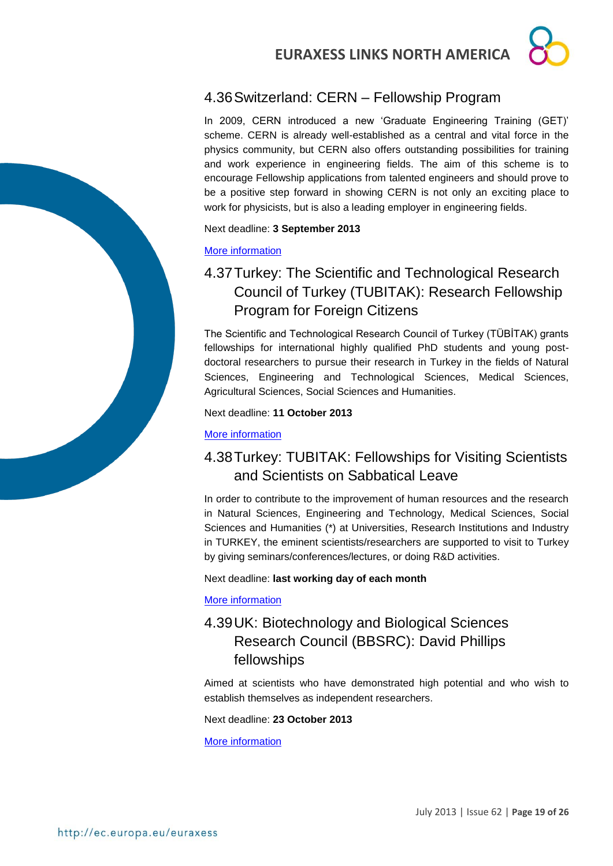### <span id="page-18-0"></span>4.36Switzerland: CERN – Fellowship Program

In 2009, CERN introduced a new 'Graduate Engineering Training (GET)' scheme. CERN is already well-established as a central and vital force in the physics community, but CERN also offers outstanding possibilities for training and work experience in engineering fields. The aim of this scheme is to encourage Fellowship applications from talented engineers and should prove to be a positive step forward in showing CERN is not only an exciting place to work for physicists, but is also a leading employer in engineering fields.

#### Next deadline: **3 September 2013**

#### [More information](http://jobs.web.cern.ch/join-us/fellowship-programme)

### <span id="page-18-1"></span>4.37Turkey: The Scientific and Technological Research Council of Turkey (TUBITAK): Research Fellowship Program for Foreign Citizens

The Scientific and Technological Research Council of Turkey (TÜBİTAK) grants fellowships for international highly qualified PhD students and young postdoctoral researchers to pursue their research in Turkey in the fields of Natural Sciences, Engineering and Technological Sciences, Medical Sciences, Agricultural Sciences, Social Sciences and Humanities.

Next deadline: **11 October 2013**

[More information](http://www.tubitak.gov.tr/en/content-scope-of-the-support)

### <span id="page-18-2"></span>4.38Turkey: TUBITAK: Fellowships for Visiting Scientists and Scientists on Sabbatical Leave

In order to contribute to the improvement of human resources and the research in Natural Sciences, Engineering and Technology, Medical Sciences, Social Sciences and Humanities (\*) at Universities, Research Institutions and Industry in TURKEY, the eminent scientists/researchers are supported to visit to Turkey by giving seminars/conferences/lectures, or doing R&D activities.

Next deadline: **last working day of each month**

[More information](http://www.tubitak.gov.tr/en/scholarship/postdoctoral/international-programmes/content-2221-fellowships-for-visiting-scientists-and-scientists-on-sabbatical-leave)

### <span id="page-18-3"></span>4.39UK: Biotechnology and Biological Sciences Research Council (BBSRC): David Phillips fellowships

Aimed at scientists who have demonstrated high potential and who wish to establish themselves as independent researchers.

Next deadline: **23 October 2013**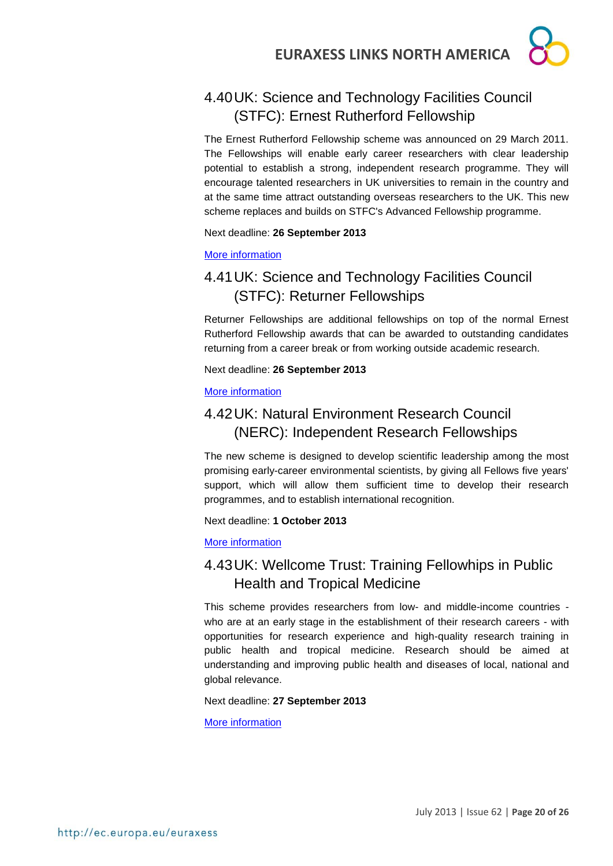### <span id="page-19-0"></span>4.40UK: Science and Technology Facilities Council (STFC): Ernest Rutherford Fellowship

The Ernest Rutherford Fellowship scheme was announced on 29 March 2011. The Fellowships will enable early career researchers with clear leadership potential to establish a strong, independent research programme. They will encourage talented researchers in UK universities to remain in the country and at the same time attract outstanding overseas researchers to the UK. This new scheme replaces and builds on STFC's Advanced Fellowship programme.

#### Next deadline: **26 September 2013**

#### [More information](http://www.stfc.ac.uk/1826.aspx)

### <span id="page-19-1"></span>4.41UK: Science and Technology Facilities Council (STFC): Returner Fellowships

Returner Fellowships are additional fellowships on top of the normal Ernest Rutherford Fellowship awards that can be awarded to outstanding candidates returning from a career break or from working outside academic research.

Next deadline: **26 September 2013**

#### [More information](http://www.stfc.ac.uk/1828.aspx)

### <span id="page-19-2"></span>4.42UK: Natural Environment Research Council (NERC): Independent Research Fellowships

The new scheme is designed to develop scientific leadership among the most promising early-career environmental scientists, by giving all Fellows five years' support, which will allow them sufficient time to develop their research programmes, and to establish international recognition.

#### Next deadline: **1 October 2013**

#### [More information](http://www.nerc.ac.uk/funding/available/fellowships/irf.asp)

### <span id="page-19-3"></span>4.43UK: Wellcome Trust: Training Fellowhips in Public Health and Tropical Medicine

This scheme provides researchers from low- and middle-income countries who are at an early stage in the establishment of their research careers - with opportunities for research experience and high-quality research training in public health and tropical medicine. Research should be aimed at understanding and improving public health and diseases of local, national and global relevance.

#### Next deadline: **27 September 2013**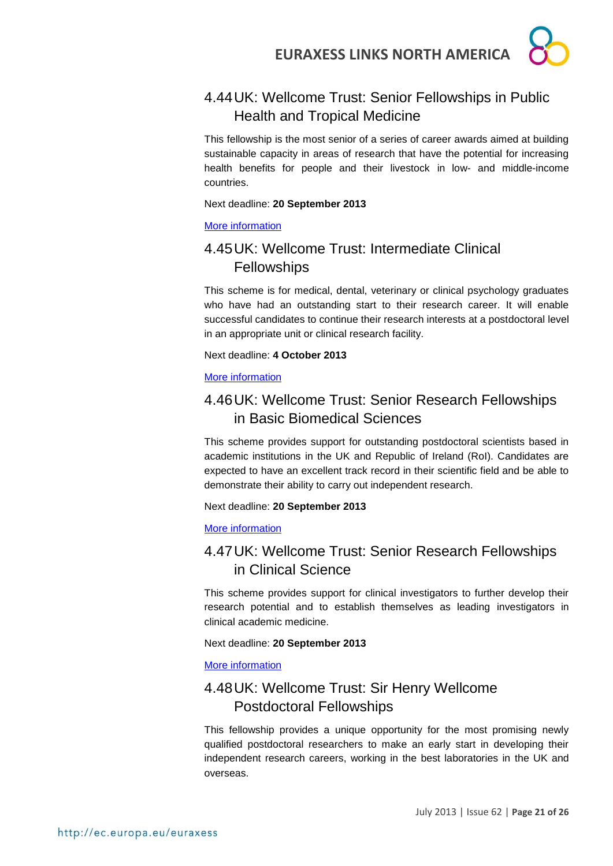### <span id="page-20-0"></span>4.44UK: Wellcome Trust: Senior Fellowships in Public Health and Tropical Medicine

This fellowship is the most senior of a series of career awards aimed at building sustainable capacity in areas of research that have the potential for increasing health benefits for people and their livestock in low- and middle-income countries.

#### Next deadline: **20 September 2013**

#### [More information](http://www.wellcome.ac.uk/Funding/Biomedical-science/Funding-schemes/Fellowships/Public-health-and-tropical-medicine/WTD025884.htm)

### <span id="page-20-1"></span>4.45UK: Wellcome Trust: Intermediate Clinical **Fellowships**

This scheme is for medical, dental, veterinary or clinical psychology graduates who have had an outstanding start to their research career. It will enable successful candidates to continue their research interests at a postdoctoral level in an appropriate unit or clinical research facility.

#### Next deadline: **4 October 2013**

#### [More information](http://www.wellcome.ac.uk/Funding/Biomedical-science/Funding-schemes/Fellowships/Clinical-fellowships/WTD004402.htm)

### <span id="page-20-2"></span>4.46UK: Wellcome Trust: Senior Research Fellowships in Basic Biomedical Sciences

This scheme provides support for outstanding postdoctoral scientists based in academic institutions in the UK and Republic of Ireland (RoI). Candidates are expected to have an excellent track record in their scientific field and be able to demonstrate their ability to carry out independent research.

#### Next deadline: **20 September 2013**

#### [More information](http://www.wellcome.ac.uk/Funding/Biomedical-science/Funding-schemes/Fellowships/Basic-biomedical-fellowships/WTD004442.htm)

### <span id="page-20-3"></span>4.47UK: Wellcome Trust: Senior Research Fellowships in Clinical Science

This scheme provides support for clinical investigators to further develop their research potential and to establish themselves as leading investigators in clinical academic medicine.

#### Next deadline: **20 September 2013**

#### [More information](http://www.wellcome.ac.uk/Funding/Biomedical-science/Funding-schemes/Fellowships/Clinical-fellowships/WTD004445.htm)

### <span id="page-20-4"></span>4.48UK: Wellcome Trust: Sir Henry Wellcome Postdoctoral Fellowships

This fellowship provides a unique opportunity for the most promising newly qualified postdoctoral researchers to make an early start in developing their independent research careers, working in the best laboratories in the UK and overseas.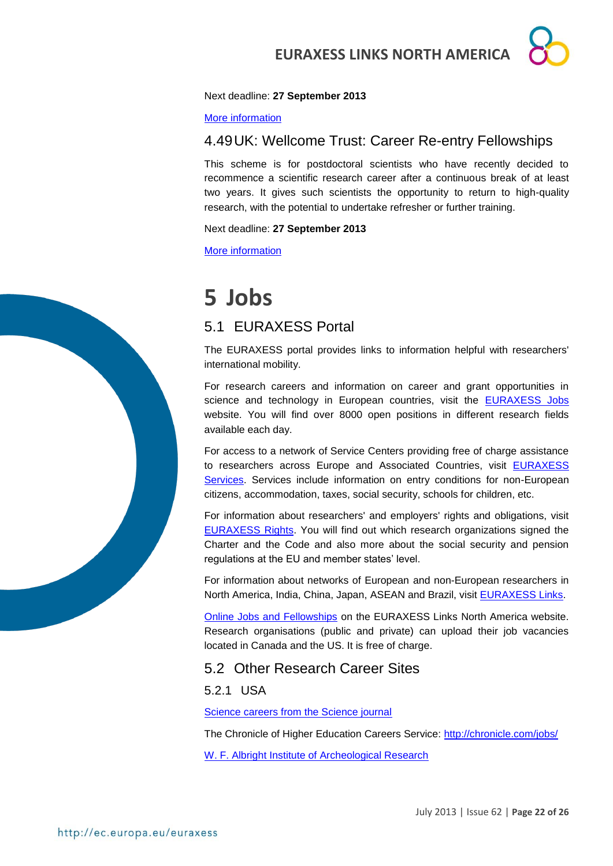#### Next deadline: **27 September 2013**

[More information](http://www.wellcome.ac.uk/Funding/Biomedical-science/Funding-schemes/Fellowships/Basic-biomedical-fellowships/WTX033549.htm)

#### <span id="page-21-0"></span>4.49UK: Wellcome Trust: Career Re-entry Fellowships

This scheme is for postdoctoral scientists who have recently decided to recommence a scientific research career after a continuous break of at least two years. It gives such scientists the opportunity to return to high-quality research, with the potential to undertake refresher or further training.

Next deadline: **27 September 2013**

[More information](http://www.wellcome.ac.uk/Funding/Biomedical-science/Funding-schemes/Fellowships/Basic-biomedical-fellowships/WTD004380.htm)

# <span id="page-21-1"></span>**5 Jobs**

### <span id="page-21-2"></span>5.1 EURAXESS Portal

The EURAXESS portal provides links to information helpful with researchers' international mobility.

For research careers and information on career and grant opportunities in science and technology in European countries, visit the [EURAXESS Jobs](http://ec.europa.eu/euraxess/index.cfm/jobs/index) website. You will find over 8000 open positions in different research fields available each day.

For access to a network of Service Centers providing free of charge assistance to researchers across Europe and Associated Countries, visit [EURAXESS](http://ec.europa.eu/euraxess/index.cfm/services/index)  [Services.](http://ec.europa.eu/euraxess/index.cfm/services/index) Services include information on entry conditions for non-European citizens, accommodation, taxes, social security, schools for children, etc.

For information about researchers' and employers' rights and obligations, visit [EURAXESS Rights.](http://ec.europa.eu/euraxess/index.cfm/rights/index) You will find out which research organizations signed the Charter and the Code and also more about the social security and pension regulations at the EU and member states' level.

For information about networks of European and non-European researchers in North America, India, China, Japan, ASEAN and Brazil, visit [EURAXESS Links.](http://ec.europa.eu/euraxess/index.cfm/links/index/)

[Online Jobs and Fellowships](http://ec.europa.eu/euraxess/index.cfm/links/eurRes/north_america) on the EURAXESS Links North America website. Research organisations (public and private) can upload their job vacancies located in Canada and the US. It is free of charge.

#### <span id="page-21-3"></span>5.2 Other Research Career Sites

<span id="page-21-4"></span>5.2.1 USA

[Science careers from the Science journal](http://sciencecareers.sciencemag.org/)

The Chronicle of Higher Education Careers Service:<http://chronicle.com/jobs/>

[W. F. Albright Institute of Archeological Research](http://www.aiar.org/fellowships.html#list)

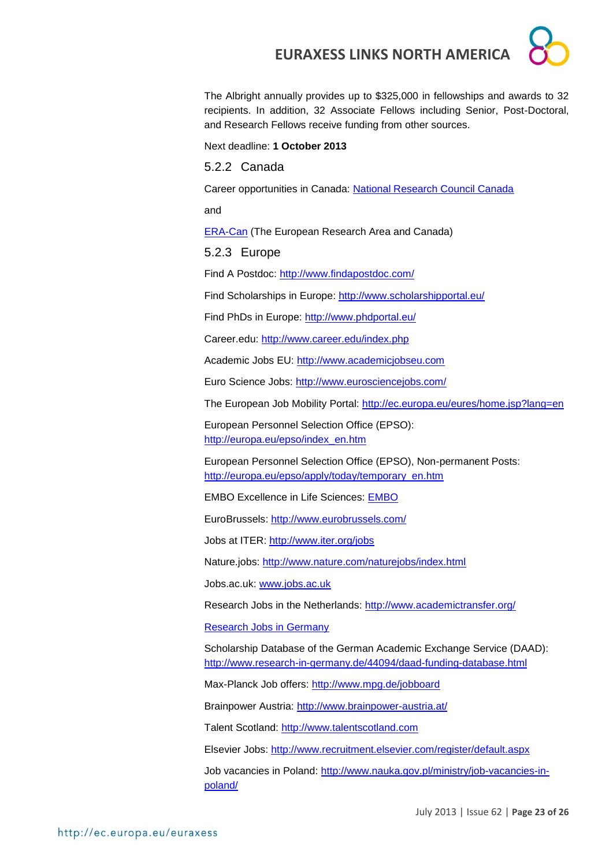The Albright annually provides up to \$325,000 in fellowships and awards to 32 recipients. In addition, 32 Associate Fellows including Senior, Post-Doctoral, and Research Fellows receive funding from other sources.

Next deadline: **1 October 2013**

#### <span id="page-22-0"></span>5.2.2 Canada

Career opportunities in Canada: [National Research Council Canada](http://www.nrc-cnrc.gc.ca/eng/careers/index.html)

and

[ERA-Can](http://www.era-can.ca/en/Opportunities_In_Canadian_Programs_22/Opportunities_In_Canadian_Programs_10) (The European Research Area and Canada)

#### <span id="page-22-1"></span>5.2.3 Europe

Find A Postdoc:<http://www.findapostdoc.com/>

Find Scholarships in Europe:<http://www.scholarshipportal.eu/>

Find PhDs in Europe:<http://www.phdportal.eu/>

Career.edu:<http://www.career.edu/index.php>

Academic Jobs EU: [http://www.academicjobseu.com](http://www.academicjobseu.com/)

Euro Science Jobs:<http://www.eurosciencejobs.com/>

The European Job Mobility Portal:<http://ec.europa.eu/eures/home.jsp?lang=en>

European Personnel Selection Office (EPSO): [http://europa.eu/epso/index\\_en.htm](http://europa.eu/epso/index_en.htm)

European Personnel Selection Office (EPSO), Non-permanent Posts: [http://europa.eu/epso/apply/today/temporary\\_en.htm](http://europa.eu/epso/apply/today/temporary_en.htm)

EMBO Excellence in Life Sciences: [EMBO](http://www.embo.org/)

EuroBrussels:<http://www.eurobrussels.com/>

Jobs at ITER:<http://www.iter.org/jobs>

Nature.jobs:<http://www.nature.com/naturejobs/index.html>

Jobs.ac.uk: [www.jobs.ac.uk](http://www.jobs.ac.uk/)

Research Jobs in the Netherlands:<http://www.academictransfer.org/>

[Research Jobs in Germany](http://www.germaninnovation.org/resources/faculty-and-researchers)

Scholarship Database of the German Academic Exchange Service (DAAD): <http://www.research-in-germany.de/44094/daad-funding-database.html>

Max-Planck Job offers:<http://www.mpg.de/jobboard>

Brainpower Austria:<http://www.brainpower-austria.at/>

Talent Scotland: [http://www.talentscotland.com](http://www.talentscotland.com/)

Elsevier Jobs:<http://www.recruitment.elsevier.com/register/default.aspx>

Job vacancies in Poland: [http://www.nauka.gov.pl/ministry/job-vacancies-in](http://www.nauka.gov.pl/ministry/job-vacancies-in-poland/)[poland/](http://www.nauka.gov.pl/ministry/job-vacancies-in-poland/)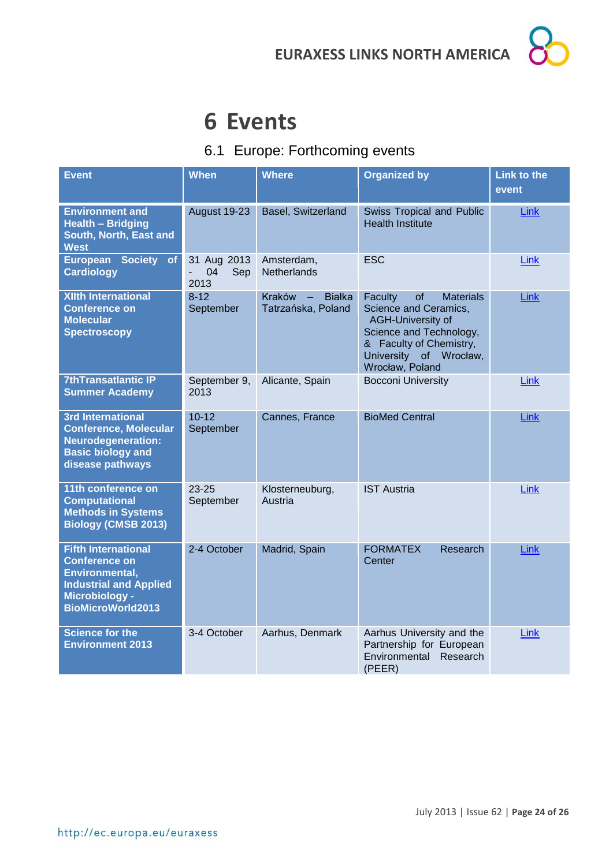# <span id="page-23-0"></span>**6 Events**

### <span id="page-23-1"></span>6.1 Europe: Forthcoming events

| <b>Event</b>                                                                                                                                        | <b>When</b>                            | <b>Where</b>                                                       | <b>Organized by</b>                                                                                                                                                                       | <b>Link to the</b><br>event |
|-----------------------------------------------------------------------------------------------------------------------------------------------------|----------------------------------------|--------------------------------------------------------------------|-------------------------------------------------------------------------------------------------------------------------------------------------------------------------------------------|-----------------------------|
| <b>Environment and</b><br><b>Health - Bridging</b><br>South, North, East and<br><b>West</b>                                                         | August 19-23                           | Basel, Switzerland                                                 | Swiss Tropical and Public<br><b>Health Institute</b>                                                                                                                                      | Link                        |
| European Society<br>of<br><b>Cardiology</b>                                                                                                         | 31 Aug 2013<br>04<br>Sep<br>÷.<br>2013 | Amsterdam,<br>Netherlands                                          | <b>ESC</b>                                                                                                                                                                                | Link                        |
| <b>XIIth International</b><br><b>Conference on</b><br><b>Molecular</b><br><b>Spectroscopy</b>                                                       | $8-12$<br>September                    | Kraków<br><b>Białka</b><br>$\qquad \qquad -$<br>Tatrzańska, Poland | <b>Materials</b><br>Faculty<br>of<br>Science and Ceramics,<br><b>AGH-University of</b><br>Science and Technology,<br>& Faculty of Chemistry,<br>University of Wrocław,<br>Wrocław, Poland | <b>Link</b>                 |
| <b>7thTransatlantic IP</b><br><b>Summer Academy</b>                                                                                                 | September 9,<br>2013                   | Alicante, Spain                                                    | <b>Bocconi University</b>                                                                                                                                                                 | Link                        |
| <b>3rd International</b><br><b>Conference, Molecular</b><br><b>Neurodegeneration:</b><br><b>Basic biology and</b><br>disease pathways               | $10 - 12$<br>September                 | Cannes, France                                                     | <b>BioMed Central</b>                                                                                                                                                                     | <b>Link</b>                 |
| 11th conference on<br><b>Computational</b><br><b>Methods in Systems</b><br><b>Biology (CMSB 2013)</b>                                               | $23 - 25$<br>September                 | Klosterneuburg,<br>Austria                                         | <b>IST Austria</b>                                                                                                                                                                        | Link                        |
| <b>Fifth International</b><br><b>Conference on</b><br>Environmental,<br><b>Industrial and Applied</b><br>Microbiology -<br><b>BioMicroWorld2013</b> | 2-4 October                            | Madrid, Spain                                                      | <b>FORMATEX</b><br>Research<br>Center                                                                                                                                                     | Link                        |
| <b>Science for the</b><br><b>Environment 2013</b>                                                                                                   | 3-4 October                            | Aarhus, Denmark                                                    | Aarhus University and the<br>Partnership for European<br>Environmental<br>Research<br>(PEER)                                                                                              | Link                        |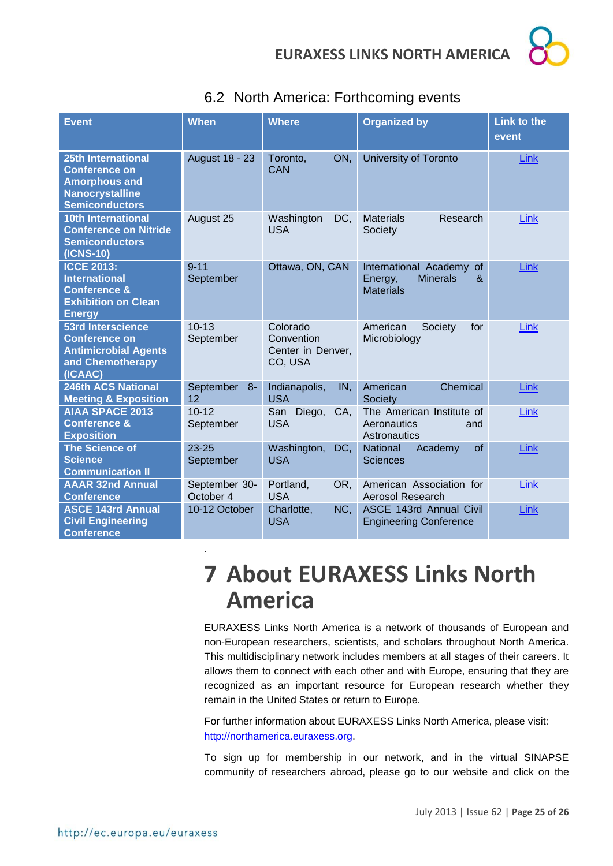

| <b>Event</b>                                                                                                                 | <b>When</b>                | <b>Where</b>                                           | <b>Organized by</b>                                                                           | <b>Link to the</b><br>event |
|------------------------------------------------------------------------------------------------------------------------------|----------------------------|--------------------------------------------------------|-----------------------------------------------------------------------------------------------|-----------------------------|
| <b>25th International</b><br><b>Conference on</b><br><b>Amorphous and</b><br><b>Nanocrystalline</b><br><b>Semiconductors</b> | <b>August 18 - 23</b>      | ON,<br>Toronto.<br>CAN                                 | University of Toronto                                                                         | Link                        |
| <b>10th International</b><br><b>Conference on Nitride</b><br><b>Semiconductors</b><br>(ICNS-10)                              | August 25                  | DC,<br>Washington<br><b>USA</b>                        | <b>Materials</b><br>Research<br>Society                                                       | <b>Link</b>                 |
| <b>ICCE 2013:</b><br><b>International</b><br><b>Conference &amp;</b><br><b>Exhibition on Clean</b><br><b>Energy</b>          | $9 - 11$<br>September      | Ottawa, ON, CAN                                        | International Academy<br><sub>of</sub><br><b>Minerals</b><br>Energy,<br>&<br><b>Materials</b> | Link                        |
| <b>53rd Interscience</b><br><b>Conference on</b><br><b>Antimicrobial Agents</b><br>and Chemotherapy<br>(ICAAC)               | $10 - 13$<br>September     | Colorado<br>Convention<br>Center in Denver,<br>CO, USA | American<br>Society<br>for<br>Microbiology                                                    | Link                        |
| <b>246th ACS National</b><br><b>Meeting &amp; Exposition</b>                                                                 | September<br>$8-$<br>12    | Indianapolis,<br>IN,<br><b>USA</b>                     | Chemical<br>American<br>Society                                                               | Link                        |
| <b>AIAA SPACE 2013</b><br><b>Conference &amp;</b><br><b>Exposition</b>                                                       | $10 - 12$<br>September     | San<br>Diego,<br>CA,<br><b>USA</b>                     | The American Institute of<br>Aeronautics<br>and<br>Astronautics                               | Link                        |
| <b>The Science of</b><br><b>Science</b><br><b>Communication II</b>                                                           | $23 - 25$<br>September     | Washington,<br>DC,<br><b>USA</b>                       | of<br>National<br>Academy<br><b>Sciences</b>                                                  | Link                        |
| <b>AAAR 32nd Annual</b><br><b>Conference</b>                                                                                 | September 30-<br>October 4 | Portland,<br>OR,<br><b>USA</b>                         | American Association for<br>Aerosol Research                                                  | <b>Link</b>                 |
| <b>ASCE 143rd Annual</b><br><b>Civil Engineering</b><br><b>Conference</b>                                                    | 10-12 October              | Charlotte,<br>NC.<br><b>USA</b>                        | <b>ASCE 143rd Annual Civil</b><br><b>Engineering Conference</b>                               | Link                        |

### <span id="page-24-0"></span>6.2 North America: Forthcoming events

# <span id="page-24-1"></span>**7 About EURAXESS Links North America**

EURAXESS Links North America is a network of thousands of European and non-European researchers, scientists, and scholars throughout North America. This multidisciplinary network includes members at all stages of their careers. It allows them to connect with each other and with Europe, ensuring that they are recognized as an important resource for European research whether they remain in the United States or return to Europe.

For further information about EURAXESS Links North America, please visit: [http://northamerica.euraxess.org.](http://northamerica.euraxess.org/)

To sign up for membership in our network, and in the virtual SINAPSE community of researchers abroad, please go to our website and click on the

.